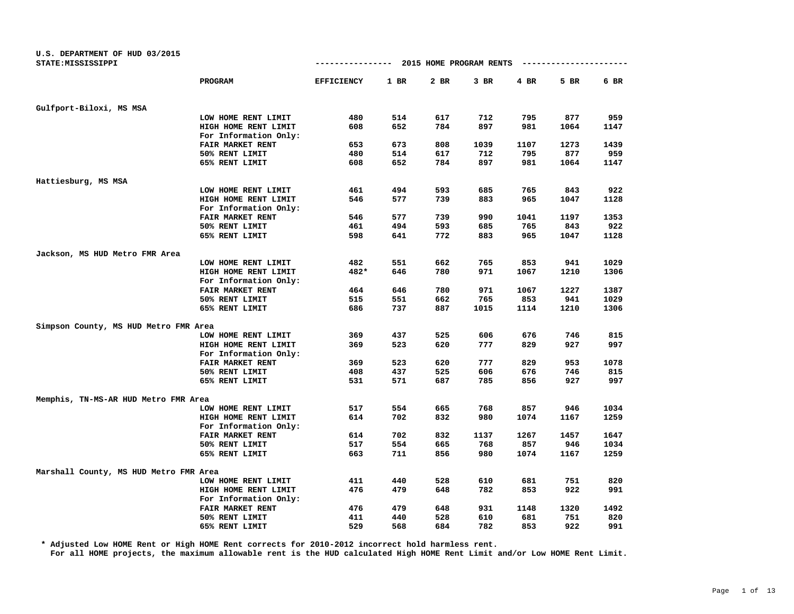| U.S. DEPARTMENT OF HUD 03/2015<br>STATE: MISSISSIPPI |                         | 2015 HOME PROGRAM RENTS<br>-------------<br>---------- |        |      |      |      |      |      |
|------------------------------------------------------|-------------------------|--------------------------------------------------------|--------|------|------|------|------|------|
|                                                      | PROGRAM                 | <b>EFFICIENCY</b>                                      | $1$ BR | 2 BR | 3 BR | 4 BR | 5 BR | 6 BR |
|                                                      |                         |                                                        |        |      |      |      |      |      |
| Gulfport-Biloxi, MS MSA                              |                         |                                                        |        |      |      |      |      |      |
|                                                      | LOW HOME RENT LIMIT     | 480                                                    | 514    | 617  | 712  | 795  | 877  | 959  |
|                                                      | HIGH HOME RENT LIMIT    | 608                                                    | 652    | 784  | 897  | 981  | 1064 | 1147 |
|                                                      | For Information Only:   |                                                        |        |      |      |      |      |      |
|                                                      | FAIR MARKET RENT        | 653                                                    | 673    | 808  | 1039 | 1107 | 1273 | 1439 |
|                                                      | 50% RENT LIMIT          | 480                                                    | 514    | 617  | 712  | 795  | 877  | 959  |
|                                                      | 65% RENT LIMIT          | 608                                                    | 652    | 784  | 897  | 981  | 1064 | 1147 |
|                                                      |                         |                                                        |        |      |      |      |      |      |
| Hattiesburg, MS MSA                                  |                         |                                                        |        |      |      |      |      |      |
|                                                      | LOW HOME RENT LIMIT     | 461                                                    | 494    | 593  | 685  | 765  | 843  | 922  |
|                                                      | HIGH HOME RENT LIMIT    | 546                                                    | 577    | 739  | 883  | 965  | 1047 | 1128 |
|                                                      | For Information Only:   |                                                        |        |      |      |      |      |      |
|                                                      | FAIR MARKET RENT        | 546                                                    | 577    | 739  | 990  | 1041 | 1197 | 1353 |
|                                                      | 50% RENT LIMIT          | 461                                                    | 494    | 593  | 685  | 765  | 843  | 922  |
|                                                      | 65% RENT LIMIT          | 598                                                    | 641    | 772  | 883  | 965  | 1047 | 1128 |
|                                                      |                         |                                                        |        |      |      |      |      |      |
| Jackson, MS HUD Metro FMR Area                       | LOW HOME RENT LIMIT     | 482                                                    | 551    | 662  | 765  | 853  | 941  | 1029 |
|                                                      | HIGH HOME RENT LIMIT    | 482*                                                   | 646    | 780  | 971  | 1067 | 1210 | 1306 |
|                                                      | For Information Only:   |                                                        |        |      |      |      |      |      |
|                                                      | <b>FAIR MARKET RENT</b> | 464                                                    | 646    | 780  | 971  | 1067 | 1227 | 1387 |
|                                                      | 50% RENT LIMIT          | 515                                                    | 551    | 662  | 765  | 853  | 941  | 1029 |
|                                                      | 65% RENT LIMIT          | 686                                                    | 737    | 887  | 1015 | 1114 | 1210 | 1306 |
|                                                      |                         |                                                        |        |      |      |      |      |      |
| Simpson County, MS HUD Metro FMR Area                |                         |                                                        |        |      |      |      |      |      |
|                                                      | LOW HOME RENT LIMIT     | 369                                                    | 437    | 525  | 606  | 676  | 746  | 815  |
|                                                      | HIGH HOME RENT LIMIT    | 369                                                    | 523    | 620  | 777  | 829  | 927  | 997  |
|                                                      | For Information Only:   |                                                        |        |      |      |      |      |      |
|                                                      | FAIR MARKET RENT        | 369                                                    | 523    | 620  | 777  | 829  | 953  | 1078 |
|                                                      | 50% RENT LIMIT          | 408                                                    | 437    | 525  | 606  | 676  | 746  | 815  |
|                                                      | 65% RENT LIMIT          | 531                                                    | 571    | 687  | 785  | 856  | 927  | 997  |
| Memphis, TN-MS-AR HUD Metro FMR Area                 |                         |                                                        |        |      |      |      |      |      |
|                                                      | LOW HOME RENT LIMIT     | 517                                                    | 554    | 665  | 768  | 857  | 946  | 1034 |
|                                                      | HIGH HOME RENT LIMIT    | 614                                                    | 702    | 832  | 980  | 1074 | 1167 | 1259 |
|                                                      | For Information Only:   |                                                        |        |      |      |      |      |      |
|                                                      | FAIR MARKET RENT        | 614                                                    | 702    | 832  | 1137 | 1267 | 1457 | 1647 |
|                                                      | 50% RENT LIMIT          | 517                                                    | 554    | 665  | 768  | 857  | 946  | 1034 |
|                                                      | 65% RENT LIMIT          | 663                                                    | 711    | 856  | 980  | 1074 | 1167 | 1259 |
|                                                      |                         |                                                        |        |      |      |      |      |      |
| Marshall County, MS HUD Metro FMR Area               |                         |                                                        |        |      |      |      |      |      |
|                                                      | LOW HOME RENT LIMIT     | 411                                                    | 440    | 528  | 610  | 681  | 751  | 820  |
|                                                      | HIGH HOME RENT LIMIT    | 476                                                    | 479    | 648  | 782  | 853  | 922  | 991  |
|                                                      | For Information Only:   |                                                        |        |      |      |      |      |      |
|                                                      | FAIR MARKET RENT        | 476                                                    | 479    | 648  | 931  | 1148 | 1320 | 1492 |
|                                                      | 50% RENT LIMIT          | 411                                                    | 440    | 528  | 610  | 681  | 751  | 820  |
|                                                      | 65% RENT LIMIT          | 529                                                    | 568    | 684  | 782  | 853  | 922  | 991  |

**\* Adjusted Low HOME Rent or High HOME Rent corrects for 2010-2012 incorrect hold harmless rent.**

**For all HOME projects, the maximum allowable rent is the HUD calculated High HOME Rent Limit and/or Low HOME Rent Limit.**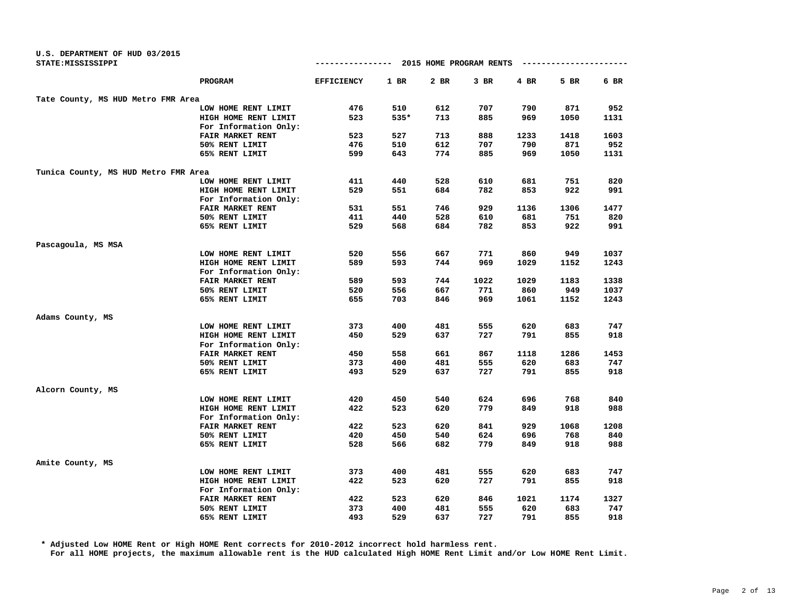| U.S. DEPARTMENT OF HUD 03/2015       |                       |                   |        |      |                         |           |      |      |
|--------------------------------------|-----------------------|-------------------|--------|------|-------------------------|-----------|------|------|
| STATE: MISSISSIPPI                   |                       | --------------    |        |      | 2015 HOME PROGRAM RENTS | --------- |      |      |
|                                      | PROGRAM               | <b>EFFICIENCY</b> | $1$ BR | 2 BR | $3$ BR                  | 4 BR      | 5 BR | 6 BR |
| Tate County, MS HUD Metro FMR Area   |                       |                   |        |      |                         |           |      |      |
|                                      | LOW HOME RENT LIMIT   | 476               | 510    | 612  | 707                     | 790       | 871  | 952  |
|                                      | HIGH HOME RENT LIMIT  | 523               | 535*   | 713  | 885                     | 969       | 1050 | 1131 |
|                                      | For Information Only: |                   |        |      |                         |           |      |      |
|                                      | FAIR MARKET RENT      | 523               | 527    | 713  | 888                     | 1233      | 1418 | 1603 |
|                                      | 50% RENT LIMIT        | 476               | 510    | 612  | 707                     | 790       | 871  | 952  |
|                                      | 65% RENT LIMIT        | 599               | 643    | 774  | 885                     | 969       | 1050 | 1131 |
| Tunica County, MS HUD Metro FMR Area |                       |                   |        |      |                         |           |      |      |
|                                      | LOW HOME RENT LIMIT   | 411               | 440    | 528  | 610                     | 681       | 751  | 820  |
|                                      | HIGH HOME RENT LIMIT  | 529               | 551    | 684  | 782                     | 853       | 922  | 991  |
|                                      | For Information Only: |                   |        |      |                         |           |      |      |
|                                      | FAIR MARKET RENT      | 531               | 551    | 746  | 929                     | 1136      | 1306 | 1477 |
|                                      | 50% RENT LIMIT        | 411               | 440    | 528  | 610                     | 681       | 751  | 820  |
|                                      | 65% RENT LIMIT        | 529               | 568    | 684  | 782                     | 853       | 922  | 991  |
| Pascagoula, MS MSA                   |                       |                   |        |      |                         |           |      |      |
|                                      | LOW HOME RENT LIMIT   | 520               | 556    | 667  | 771                     | 860       | 949  | 1037 |
|                                      | HIGH HOME RENT LIMIT  | 589               | 593    | 744  | 969                     | 1029      | 1152 | 1243 |
|                                      | For Information Only: |                   |        |      |                         |           |      |      |
|                                      | FAIR MARKET RENT      | 589               | 593    | 744  | 1022                    | 1029      | 1183 | 1338 |
|                                      | 50% RENT LIMIT        | 520               | 556    | 667  | 771                     | 860       | 949  | 1037 |
|                                      | 65% RENT LIMIT        | 655               | 703    | 846  | 969                     | 1061      | 1152 | 1243 |
| Adams County, MS                     |                       |                   |        |      |                         |           |      |      |
|                                      | LOW HOME RENT LIMIT   | 373               | 400    | 481  | 555                     | 620       | 683  | 747  |
|                                      | HIGH HOME RENT LIMIT  | 450               | 529    | 637  | 727                     | 791       | 855  | 918  |
|                                      | For Information Only: |                   |        |      |                         |           |      |      |
|                                      | FAIR MARKET RENT      | 450               | 558    | 661  | 867                     | 1118      | 1286 | 1453 |
|                                      | 50% RENT LIMIT        | 373               | 400    | 481  | 555                     | 620       | 683  | 747  |
|                                      | 65% RENT LIMIT        | 493               | 529    | 637  | 727                     | 791       | 855  | 918  |
| Alcorn County, MS                    |                       |                   |        |      |                         |           |      |      |
|                                      | LOW HOME RENT LIMIT   | 420               | 450    | 540  | 624                     | 696       | 768  | 840  |
|                                      | HIGH HOME RENT LIMIT  | 422               | 523    | 620  | 779                     | 849       | 918  | 988  |
|                                      | For Information Only: |                   |        |      |                         |           |      |      |
|                                      | FAIR MARKET RENT      | 422               | 523    | 620  | 841                     | 929       | 1068 | 1208 |
|                                      | 50% RENT LIMIT        | 420               | 450    | 540  | 624                     | 696       | 768  | 840  |
|                                      | 65% RENT LIMIT        | 528               | 566    | 682  | 779                     | 849       | 918  | 988  |
| Amite County, MS                     |                       |                   |        |      |                         |           |      |      |
|                                      | LOW HOME RENT LIMIT   | 373               | 400    | 481  | 555                     | 620       | 683  | 747  |
|                                      | HIGH HOME RENT LIMIT  | 422               | 523    | 620  | 727                     | 791       | 855  | 918  |
|                                      | For Information Only: |                   |        |      |                         |           |      |      |
|                                      | FAIR MARKET RENT      | 422               | 523    | 620  | 846                     | 1021      | 1174 | 1327 |
|                                      | 50% RENT LIMIT        | 373               | 400    | 481  | 555                     | 620       | 683  | 747  |
|                                      | 65% RENT LIMIT        | 493               | 529    | 637  | 727                     | 791       | 855  | 918  |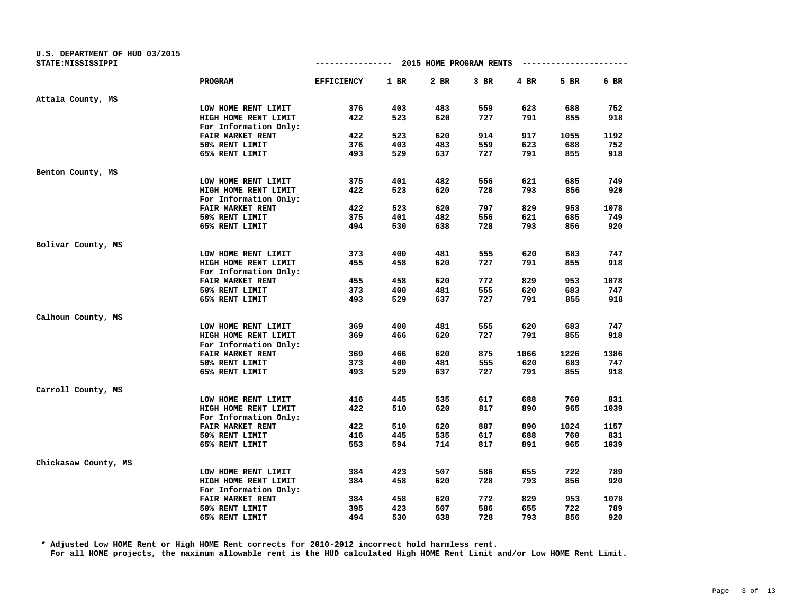| U.S. DEPARTMENT OF HUD 03/2015 |                       | ------------ 2015 HOME PROGRAM RENTS |        |      |        |      | ---------------------- |      |
|--------------------------------|-----------------------|--------------------------------------|--------|------|--------|------|------------------------|------|
| STATE: MISSISSIPPI             |                       |                                      |        |      |        |      |                        |      |
|                                | <b>PROGRAM</b>        | <b>EFFICIENCY</b>                    | $1$ BR | 2 BR | $3$ BR | 4 BR | 5 BR                   | 6 BR |
| Attala County, MS              |                       |                                      |        |      |        |      |                        |      |
|                                | LOW HOME RENT LIMIT   | 376                                  | 403    | 483  | 559    | 623  | 688                    | 752  |
|                                | HIGH HOME RENT LIMIT  | 422                                  | 523    | 620  | 727    | 791  | 855                    | 918  |
|                                | For Information Only: |                                      |        |      |        |      |                        |      |
|                                | FAIR MARKET RENT      | 422                                  | 523    | 620  | 914    | 917  | 1055                   | 1192 |
|                                | 50% RENT LIMIT        | 376                                  | 403    | 483  | 559    | 623  | 688                    | 752  |
|                                | 65% RENT LIMIT        | 493                                  | 529    | 637  | 727    | 791  | 855                    | 918  |
| Benton County, MS              |                       |                                      |        |      |        |      |                        |      |
|                                | LOW HOME RENT LIMIT   | 375                                  | 401    | 482  | 556    | 621  | 685                    | 749  |
|                                | HIGH HOME RENT LIMIT  | 422                                  | 523    | 620  | 728    | 793  | 856                    | 920  |
|                                | For Information Only: |                                      |        |      |        |      |                        |      |
|                                | FAIR MARKET RENT      | 422                                  | 523    | 620  | 797    | 829  | 953                    | 1078 |
|                                | 50% RENT LIMIT        | 375                                  | 401    | 482  | 556    | 621  | 685                    | 749  |
|                                | 65% RENT LIMIT        | 494                                  | 530    | 638  | 728    | 793  | 856                    | 920  |
| Bolivar County, MS             |                       |                                      |        |      |        |      |                        |      |
|                                | LOW HOME RENT LIMIT   | 373                                  | 400    | 481  | 555    | 620  | 683                    | 747  |
|                                | HIGH HOME RENT LIMIT  | 455                                  | 458    | 620  | 727    | 791  | 855                    | 918  |
|                                | For Information Only: |                                      |        |      |        |      |                        |      |
|                                | FAIR MARKET RENT      | 455                                  | 458    | 620  | 772    | 829  | 953                    | 1078 |
|                                | 50% RENT LIMIT        | 373                                  | 400    | 481  | 555    | 620  | 683                    | 747  |
|                                | 65% RENT LIMIT        | 493                                  | 529    | 637  | 727    | 791  | 855                    | 918  |
| Calhoun County, MS             |                       |                                      |        |      |        |      |                        |      |
|                                | LOW HOME RENT LIMIT   | 369                                  | 400    | 481  | 555    | 620  | 683                    | 747  |
|                                | HIGH HOME RENT LIMIT  | 369                                  | 466    | 620  | 727    | 791  | 855                    | 918  |
|                                | For Information Only: |                                      |        |      |        |      |                        |      |
|                                | FAIR MARKET RENT      | 369                                  | 466    | 620  | 875    | 1066 | 1226                   | 1386 |
|                                | 50% RENT LIMIT        | 373                                  | 400    | 481  | 555    | 620  | 683                    | 747  |
|                                | 65% RENT LIMIT        | 493                                  | 529    | 637  | 727    | 791  | 855                    | 918  |
| Carroll County, MS             |                       |                                      |        |      |        |      |                        |      |
|                                | LOW HOME RENT LIMIT   | 416                                  | 445    | 535  | 617    | 688  | 760                    | 831  |
|                                | HIGH HOME RENT LIMIT  | 422                                  | 510    | 620  | 817    | 890  | 965                    | 1039 |
|                                | For Information Only: |                                      |        |      |        |      |                        |      |
|                                | FAIR MARKET RENT      | 422                                  | 510    | 620  | 887    | 890  | 1024                   | 1157 |
|                                | 50% RENT LIMIT        | 416                                  | 445    | 535  | 617    | 688  | 760                    | 831  |
|                                | 65% RENT LIMIT        | 553                                  | 594    | 714  | 817    | 891  | 965                    | 1039 |
| Chickasaw County, MS           |                       |                                      |        |      |        |      |                        |      |
|                                | LOW HOME RENT LIMIT   | 384                                  | 423    | 507  | 586    | 655  | 722                    | 789  |
|                                | HIGH HOME RENT LIMIT  | 384                                  | 458    | 620  | 728    | 793  | 856                    | 920  |
|                                | For Information Only: |                                      |        |      |        |      |                        |      |
|                                | FAIR MARKET RENT      | 384                                  | 458    | 620  | 772    | 829  | 953                    | 1078 |
|                                | 50% RENT LIMIT        | 395                                  | 423    | 507  | 586    | 655  | 722                    | 789  |
|                                | 65% RENT LIMIT        | 494                                  | 530    | 638  | 728    | 793  | 856                    | 920  |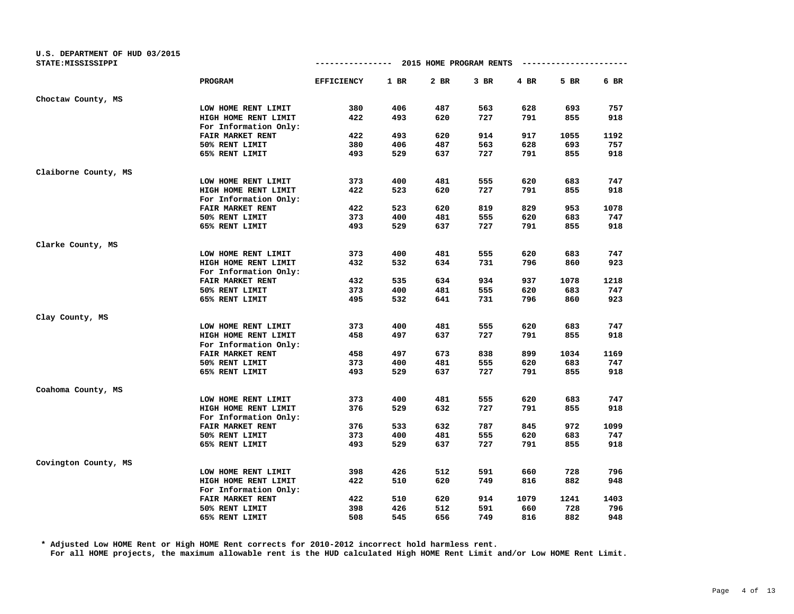| U.S. DEPARTMENT OF HUD 03/2015<br>STATE: MISSISSIPPI |                       | -------------     |        | 2015 HOME PROGRAM RENTS |      |      |      |      |
|------------------------------------------------------|-----------------------|-------------------|--------|-------------------------|------|------|------|------|
|                                                      | PROGRAM               | <b>EFFICIENCY</b> | $1$ BR | 2 BR                    | 3 BR | 4 BR | 5 BR | 6 BR |
| Choctaw County, MS                                   |                       |                   |        |                         |      |      |      |      |
|                                                      | LOW HOME RENT LIMIT   | 380               | 406    | 487                     | 563  | 628  | 693  | 757  |
|                                                      | HIGH HOME RENT LIMIT  | 422               | 493    | 620                     | 727  | 791  | 855  | 918  |
|                                                      | For Information Only: |                   |        |                         |      |      |      |      |
|                                                      | FAIR MARKET RENT      | 422               | 493    | 620                     | 914  | 917  | 1055 | 1192 |
|                                                      | 50% RENT LIMIT        | 380               | 406    | 487                     | 563  | 628  | 693  | 757  |
|                                                      | 65% RENT LIMIT        | 493               | 529    | 637                     | 727  | 791  | 855  | 918  |
| Claiborne County, MS                                 |                       |                   |        |                         |      |      |      |      |
|                                                      | LOW HOME RENT LIMIT   | 373               | 400    | 481                     | 555  | 620  | 683  | 747  |
|                                                      | HIGH HOME RENT LIMIT  | 422               | 523    | 620                     | 727  | 791  | 855  | 918  |
|                                                      | For Information Only: |                   |        |                         |      |      |      |      |
|                                                      | FAIR MARKET RENT      | 422               | 523    | 620                     | 819  | 829  | 953  | 1078 |
|                                                      | 50% RENT LIMIT        | 373               | 400    | 481                     | 555  | 620  | 683  | 747  |
|                                                      | 65% RENT LIMIT        | 493               | 529    | 637                     | 727  | 791  | 855  | 918  |
| Clarke County, MS                                    |                       |                   |        |                         |      |      |      |      |
|                                                      | LOW HOME RENT LIMIT   | 373               | 400    | 481                     | 555  | 620  | 683  | 747  |
|                                                      | HIGH HOME RENT LIMIT  | 432               | 532    | 634                     | 731  | 796  | 860  | 923  |
|                                                      | For Information Only: |                   |        |                         |      |      |      |      |
|                                                      | FAIR MARKET RENT      | 432               | 535    | 634                     | 934  | 937  | 1078 | 1218 |
|                                                      | 50% RENT LIMIT        | 373               | 400    | 481                     | 555  | 620  | 683  | 747  |
|                                                      | 65% RENT LIMIT        | 495               | 532    | 641                     | 731  | 796  | 860  | 923  |
| Clay County, MS                                      |                       |                   |        |                         |      |      |      |      |
|                                                      | LOW HOME RENT LIMIT   | 373               | 400    | 481                     | 555  | 620  | 683  | 747  |
|                                                      | HIGH HOME RENT LIMIT  | 458               | 497    | 637                     | 727  | 791  | 855  | 918  |
|                                                      | For Information Only: |                   |        |                         |      |      |      |      |
|                                                      | FAIR MARKET RENT      | 458               | 497    | 673                     | 838  | 899  | 1034 | 1169 |
|                                                      | 50% RENT LIMIT        | 373               | 400    | 481                     | 555  | 620  | 683  | 747  |
|                                                      | 65% RENT LIMIT        | 493               | 529    | 637                     | 727  | 791  | 855  | 918  |
| Coahoma County, MS                                   |                       |                   |        |                         |      |      |      |      |
|                                                      | LOW HOME RENT LIMIT   | 373               | 400    | 481                     | 555  | 620  | 683  | 747  |
|                                                      | HIGH HOME RENT LIMIT  | 376               | 529    | 632                     | 727  | 791  | 855  | 918  |
|                                                      | For Information Only: |                   |        |                         |      |      |      |      |
|                                                      | FAIR MARKET RENT      | 376               | 533    | 632                     | 787  | 845  | 972  | 1099 |
|                                                      | 50% RENT LIMIT        | 373               | 400    | 481                     | 555  | 620  | 683  | 747  |
|                                                      | 65% RENT LIMIT        | 493               | 529    | 637                     | 727  | 791  | 855  | 918  |
| Covington County, MS                                 |                       |                   |        |                         |      |      |      |      |
|                                                      | LOW HOME RENT LIMIT   | 398               | 426    | 512                     | 591  | 660  | 728  | 796  |
|                                                      | HIGH HOME RENT LIMIT  | 422               | 510    | 620                     | 749  | 816  | 882  | 948  |
|                                                      | For Information Only: |                   |        |                         |      |      |      |      |
|                                                      | FAIR MARKET RENT      | 422               | 510    | 620                     | 914  | 1079 | 1241 | 1403 |
|                                                      | 50% RENT LIMIT        | 398               | 426    | 512                     | 591  | 660  | 728  | 796  |
|                                                      | 65% RENT LIMIT        | 508               | 545    | 656                     | 749  | 816  | 882  | 948  |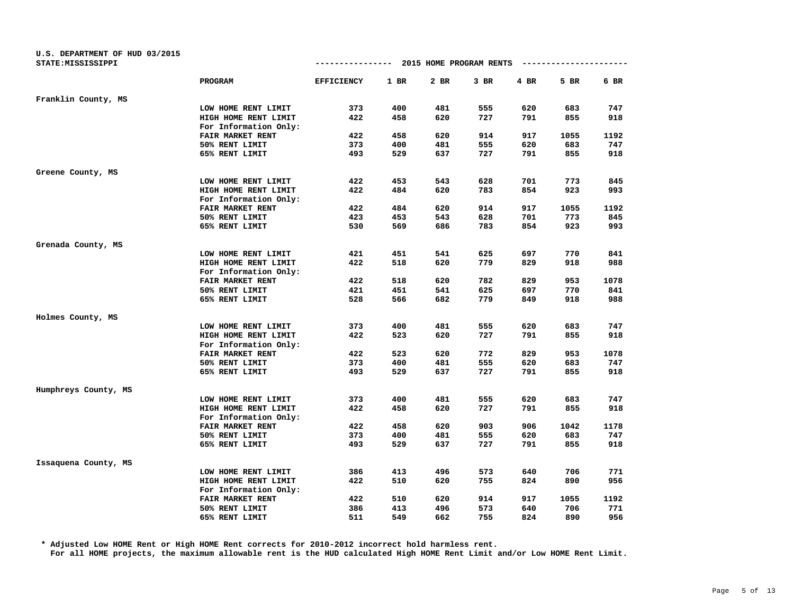| U.S. DEPARTMENT OF HUD 03/2015<br>STATE: MISSISSIPPI |                         | -------------     |        | 2015 HOME PROGRAM RENTS |        |      | ---------------------- |      |
|------------------------------------------------------|-------------------------|-------------------|--------|-------------------------|--------|------|------------------------|------|
|                                                      | <b>PROGRAM</b>          | <b>EFFICIENCY</b> | $1$ BR | 2 BR                    | $3$ BR | 4 BR | 5 BR                   | 6 BR |
| Franklin County, MS                                  |                         |                   |        |                         |        |      |                        |      |
|                                                      | LOW HOME RENT LIMIT     | 373               | 400    | 481                     | 555    | 620  | 683                    | 747  |
|                                                      | HIGH HOME RENT LIMIT    | 422               | 458    | 620                     | 727    | 791  | 855                    | 918  |
|                                                      | For Information Only:   |                   |        |                         |        |      |                        |      |
|                                                      | FAIR MARKET RENT        | 422               | 458    | 620                     | 914    | 917  | 1055                   | 1192 |
|                                                      | 50% RENT LIMIT          | 373               | 400    | 481                     | 555    | 620  | 683                    | 747  |
|                                                      | 65% RENT LIMIT          | 493               | 529    | 637                     | 727    | 791  | 855                    | 918  |
| Greene County, MS                                    |                         |                   |        |                         |        |      |                        |      |
|                                                      | LOW HOME RENT LIMIT     | 422               | 453    | 543                     | 628    | 701  | 773                    | 845  |
|                                                      | HIGH HOME RENT LIMIT    | 422               | 484    | 620                     | 783    | 854  | 923                    | 993  |
|                                                      | For Information Only:   |                   |        |                         |        |      |                        |      |
|                                                      | <b>FAIR MARKET RENT</b> | 422               | 484    | 620                     | 914    | 917  | 1055                   | 1192 |
|                                                      | 50% RENT LIMIT          | 423               | 453    | 543                     | 628    | 701  | 773                    | 845  |
|                                                      | 65% RENT LIMIT          | 530               | 569    | 686                     | 783    | 854  | 923                    | 993  |
| Grenada County, MS                                   |                         |                   |        |                         |        |      |                        |      |
|                                                      | LOW HOME RENT LIMIT     | 421               | 451    | 541                     | 625    | 697  | 770                    | 841  |
|                                                      | HIGH HOME RENT LIMIT    | 422               | 518    | 620                     | 779    | 829  | 918                    | 988  |
|                                                      | For Information Only:   |                   |        |                         |        |      |                        |      |
|                                                      | FAIR MARKET RENT        | 422               | 518    | 620                     | 782    | 829  | 953                    | 1078 |
|                                                      | 50% RENT LIMIT          | 421               | 451    | 541                     | 625    | 697  | 770                    | 841  |
|                                                      | 65% RENT LIMIT          | 528               | 566    | 682                     | 779    | 849  | 918                    | 988  |
| Holmes County, MS                                    |                         |                   |        |                         |        |      |                        |      |
|                                                      | LOW HOME RENT LIMIT     | 373               | 400    | 481                     | 555    | 620  | 683                    | 747  |
|                                                      | HIGH HOME RENT LIMIT    | 422               | 523    | 620                     | 727    | 791  | 855                    | 918  |
|                                                      | For Information Only:   |                   |        |                         |        |      |                        |      |
|                                                      | FAIR MARKET RENT        | 422               | 523    | 620                     | 772    | 829  | 953                    | 1078 |
|                                                      | 50% RENT LIMIT          | 373               | 400    | 481                     | 555    | 620  | 683                    | 747  |
|                                                      | 65% RENT LIMIT          | 493               | 529    | 637                     | 727    | 791  | 855                    | 918  |
| Humphreys County, MS                                 |                         |                   |        |                         |        |      |                        |      |
|                                                      | LOW HOME RENT LIMIT     | 373               | 400    | 481                     | 555    | 620  | 683                    | 747  |
|                                                      | HIGH HOME RENT LIMIT    | 422               | 458    | 620                     | 727    | 791  | 855                    | 918  |
|                                                      | For Information Only:   |                   |        |                         |        |      |                        |      |
|                                                      | FAIR MARKET RENT        | 422               | 458    | 620                     | 903    | 906  | 1042                   | 1178 |
|                                                      | 50% RENT LIMIT          | 373               | 400    | 481                     | 555    | 620  | 683                    | 747  |
|                                                      | 65% RENT LIMIT          | 493               | 529    | 637                     | 727    | 791  | 855                    | 918  |
| Issaquena County, MS                                 |                         |                   |        |                         |        |      |                        |      |
|                                                      | LOW HOME RENT LIMIT     | 386               | 413    | 496                     | 573    | 640  | 706                    | 771  |
|                                                      | HIGH HOME RENT LIMIT    | 422               | 510    | 620                     | 755    | 824  | 890                    | 956  |
|                                                      | For Information Only:   |                   |        |                         |        |      |                        |      |
|                                                      | FAIR MARKET RENT        | 422               | 510    | 620                     | 914    | 917  | 1055                   | 1192 |
|                                                      | 50% RENT LIMIT          | 386               | 413    | 496                     | 573    | 640  | 706                    | 771  |
|                                                      | 65% RENT LIMIT          | 511               | 549    | 662                     | 755    | 824  | 890                    | 956  |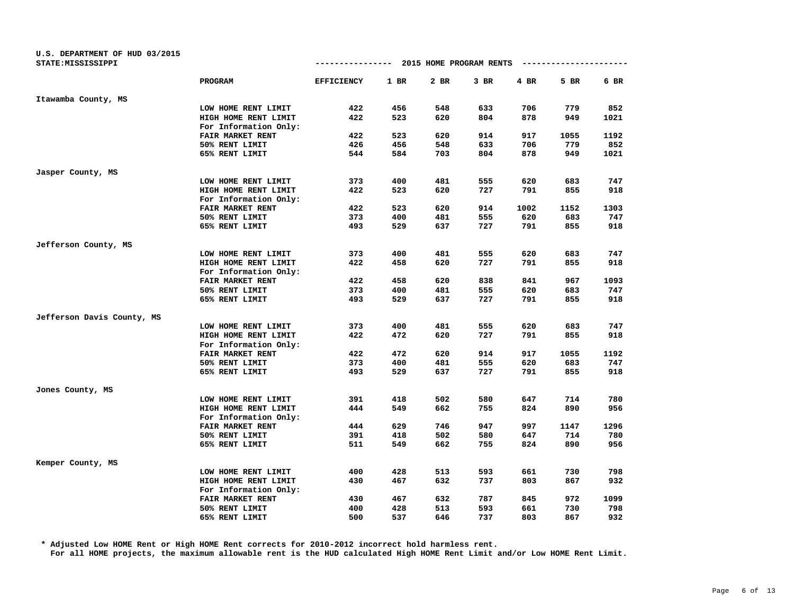| U.S. DEPARTMENT OF HUD 03/2015<br>STATE: MISSISSIPPI |                                               | -------------     |        | 2015 HOME PROGRAM RENTS |        |      |      |      |
|------------------------------------------------------|-----------------------------------------------|-------------------|--------|-------------------------|--------|------|------|------|
|                                                      | PROGRAM                                       | <b>EFFICIENCY</b> | $1$ BR | 2 BR                    | $3$ BR | 4 BR | 5 BR | 6 BR |
| Itawamba County, MS                                  |                                               |                   |        |                         |        |      |      |      |
|                                                      | LOW HOME RENT LIMIT                           | 422               | 456    | 548                     | 633    | 706  | 779  | 852  |
|                                                      | HIGH HOME RENT LIMIT                          | 422               | 523    | 620                     | 804    | 878  | 949  | 1021 |
|                                                      | For Information Only:                         |                   |        |                         |        |      |      |      |
|                                                      | FAIR MARKET RENT                              | 422               | 523    | 620                     | 914    | 917  | 1055 | 1192 |
|                                                      | 50% RENT LIMIT                                | 426               | 456    | 548                     | 633    | 706  | 779  | 852  |
|                                                      | 65% RENT LIMIT                                | 544               | 584    | 703                     | 804    | 878  | 949  | 1021 |
| Jasper County, MS                                    |                                               |                   |        |                         |        |      |      |      |
|                                                      | LOW HOME RENT LIMIT                           | 373               | 400    | 481                     | 555    | 620  | 683  | 747  |
|                                                      | HIGH HOME RENT LIMIT                          | 422               | 523    | 620                     | 727    | 791  | 855  | 918  |
|                                                      | For Information Only:                         |                   |        |                         |        |      |      |      |
|                                                      | FAIR MARKET RENT                              | 422               | 523    | 620                     | 914    | 1002 | 1152 | 1303 |
|                                                      | 50% RENT LIMIT                                | 373               | 400    | 481                     | 555    | 620  | 683  | 747  |
|                                                      | 65% RENT LIMIT                                | 493               | 529    | 637                     | 727    | 791  | 855  | 918  |
| Jefferson County, MS                                 |                                               |                   |        |                         |        |      |      |      |
|                                                      | LOW HOME RENT LIMIT                           | 373               | 400    | 481                     | 555    | 620  | 683  | 747  |
|                                                      | HIGH HOME RENT LIMIT                          | 422               | 458    | 620                     | 727    | 791  | 855  | 918  |
|                                                      | For Information Only:                         |                   |        |                         |        |      |      |      |
|                                                      | FAIR MARKET RENT                              | 422               | 458    | 620                     | 838    | 841  | 967  | 1093 |
|                                                      | 50% RENT LIMIT                                | 373               | 400    | 481                     | 555    | 620  | 683  | 747  |
|                                                      | 65% RENT LIMIT                                | 493               | 529    | 637                     | 727    | 791  | 855  | 918  |
| Jefferson Davis County, MS                           |                                               |                   |        |                         |        |      |      |      |
|                                                      | LOW HOME RENT LIMIT                           | 373               | 400    | 481                     | 555    | 620  | 683  | 747  |
|                                                      | HIGH HOME RENT LIMIT<br>For Information Only: | 422               | 472    | 620                     | 727    | 791  | 855  | 918  |
|                                                      | FAIR MARKET RENT                              | 422               | 472    | 620                     | 914    | 917  | 1055 | 1192 |
|                                                      | 50% RENT LIMIT                                | 373               | 400    | 481                     | 555    | 620  | 683  | 747  |
|                                                      | 65% RENT LIMIT                                | 493               | 529    | 637                     | 727    | 791  | 855  | 918  |
| Jones County, MS                                     |                                               |                   |        |                         |        |      |      |      |
|                                                      | LOW HOME RENT LIMIT                           | 391               | 418    | 502                     | 580    | 647  | 714  | 780  |
|                                                      | HIGH HOME RENT LIMIT                          | 444               | 549    | 662                     | 755    | 824  | 890  | 956  |
|                                                      | For Information Only:                         |                   |        |                         |        |      |      |      |
|                                                      | FAIR MARKET RENT                              | 444               | 629    | 746                     | 947    | 997  | 1147 | 1296 |
|                                                      | 50% RENT LIMIT                                | 391               | 418    | 502                     | 580    | 647  | 714  | 780  |
|                                                      | 65% RENT LIMIT                                | 511               | 549    | 662                     | 755    | 824  | 890  | 956  |
| Kemper County, MS                                    |                                               |                   |        |                         |        |      |      |      |
|                                                      | LOW HOME RENT LIMIT                           | 400               | 428    | 513                     | 593    | 661  | 730  | 798  |
|                                                      | HIGH HOME RENT LIMIT                          | 430               | 467    | 632                     | 737    | 803  | 867  | 932  |
|                                                      | For Information Only:                         |                   |        |                         |        |      |      |      |
|                                                      | FAIR MARKET RENT                              | 430               | 467    | 632                     | 787    | 845  | 972  | 1099 |
|                                                      | 50% RENT LIMIT                                | 400               | 428    | 513                     | 593    | 661  | 730  | 798  |
|                                                      | 65% RENT LIMIT                                | 500               | 537    | 646                     | 737    | 803  | 867  | 932  |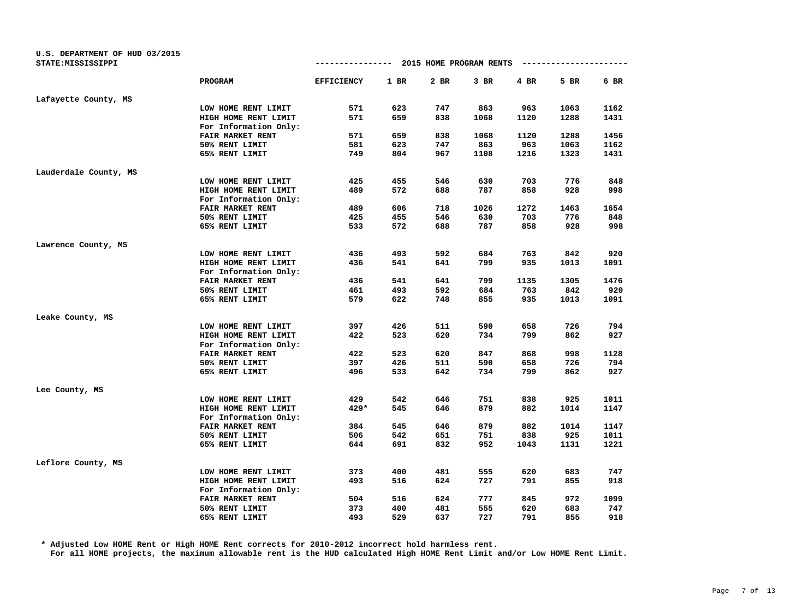| U.S. DEPARTMENT OF HUD 03/2015 |                       |                   |        |                         |        |      |      |      |
|--------------------------------|-----------------------|-------------------|--------|-------------------------|--------|------|------|------|
| STATE: MISSISSIPPI             |                       | -------------     |        | 2015 HOME PROGRAM RENTS |        |      |      |      |
|                                | PROGRAM               | <b>EFFICIENCY</b> | $1$ BR | 2 BR                    | $3$ BR | 4 BR | 5 BR | 6 BR |
| Lafayette County, MS           |                       |                   |        |                         |        |      |      |      |
|                                | LOW HOME RENT LIMIT   | 571               | 623    | 747                     | 863    | 963  | 1063 | 1162 |
|                                | HIGH HOME RENT LIMIT  | 571               | 659    | 838                     | 1068   | 1120 | 1288 | 1431 |
|                                | For Information Only: |                   |        |                         |        |      |      |      |
|                                | FAIR MARKET RENT      | 571               | 659    | 838                     | 1068   | 1120 | 1288 | 1456 |
|                                | 50% RENT LIMIT        | 581               | 623    | 747                     | 863    | 963  | 1063 | 1162 |
|                                | 65% RENT LIMIT        | 749               | 804    | 967                     | 1108   | 1216 | 1323 | 1431 |
| Lauderdale County, MS          |                       |                   |        |                         |        |      |      |      |
|                                | LOW HOME RENT LIMIT   | 425               | 455    | 546                     | 630    | 703  | 776  | 848  |
|                                | HIGH HOME RENT LIMIT  | 489               | 572    | 688                     | 787    | 858  | 928  | 998  |
|                                | For Information Only: |                   |        |                         |        |      |      |      |
|                                | FAIR MARKET RENT      | 489               | 606    | 718                     | 1026   | 1272 | 1463 | 1654 |
|                                | 50% RENT LIMIT        | 425               | 455    | 546                     | 630    | 703  | 776  | 848  |
|                                | 65% RENT LIMIT        | 533               | 572    | 688                     | 787    | 858  | 928  | 998  |
| Lawrence County, MS            |                       |                   |        |                         |        |      |      |      |
|                                | LOW HOME RENT LIMIT   | 436               | 493    | 592                     | 684    | 763  | 842  | 920  |
|                                | HIGH HOME RENT LIMIT  | 436               | 541    | 641                     | 799    | 935  | 1013 | 1091 |
|                                | For Information Only: |                   |        |                         |        |      |      |      |
|                                | FAIR MARKET RENT      | 436               | 541    | 641                     | 799    | 1135 | 1305 | 1476 |
|                                | 50% RENT LIMIT        | 461               | 493    | 592                     | 684    | 763  | 842  | 920  |
|                                | 65% RENT LIMIT        | 579               | 622    | 748                     | 855    | 935  | 1013 | 1091 |
| Leake County, MS               |                       |                   |        |                         |        |      |      |      |
|                                | LOW HOME RENT LIMIT   | 397               | 426    | 511                     | 590    | 658  | 726  | 794  |
|                                | HIGH HOME RENT LIMIT  | 422               | 523    | 620                     | 734    | 799  | 862  | 927  |
|                                | For Information Only: |                   |        |                         |        |      |      |      |
|                                | FAIR MARKET RENT      | 422               | 523    | 620                     | 847    | 868  | 998  | 1128 |
|                                | 50% RENT LIMIT        | 397               | 426    | 511                     | 590    | 658  | 726  | 794  |
|                                | 65% RENT LIMIT        | 496               | 533    | 642                     | 734    | 799  | 862  | 927  |
| Lee County, MS                 |                       |                   |        |                         |        |      |      |      |
|                                | LOW HOME RENT LIMIT   | 429               | 542    | 646                     | 751    | 838  | 925  | 1011 |
|                                | HIGH HOME RENT LIMIT  | $429*$            | 545    | 646                     | 879    | 882  | 1014 | 1147 |
|                                | For Information Only: |                   |        |                         |        |      |      |      |
|                                | FAIR MARKET RENT      | 384               | 545    | 646                     | 879    | 882  | 1014 | 1147 |
|                                | 50% RENT LIMIT        | 506               | 542    | 651                     | 751    | 838  | 925  | 1011 |
|                                | 65% RENT LIMIT        | 644               | 691    | 832                     | 952    | 1043 | 1131 | 1221 |
| Leflore County, MS             |                       |                   |        |                         |        |      |      |      |
|                                | LOW HOME RENT LIMIT   | 373               | 400    | 481                     | 555    | 620  | 683  | 747  |
|                                | HIGH HOME RENT LIMIT  | 493               | 516    | 624                     | 727    | 791  | 855  | 918  |
|                                | For Information Only: |                   |        |                         |        |      |      |      |
|                                | FAIR MARKET RENT      | 504               | 516    | 624                     | 777    | 845  | 972  | 1099 |
|                                | 50% RENT LIMIT        | 373               | 400    | 481                     | 555    | 620  | 683  | 747  |
|                                | 65% RENT LIMIT        | 493               | 529    | 637                     | 727    | 791  | 855  | 918  |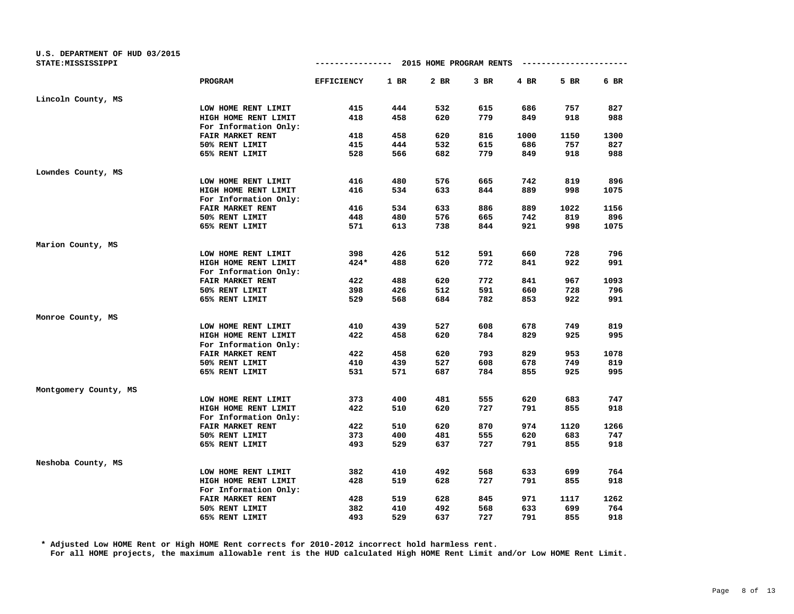| U.S. DEPARTMENT OF HUD 03/2015<br>STATE: MISSISSIPPI |                         |                   |        | ------------ 2015 HOME PROGRAM RENTS |        |      | ---------------------- |      |
|------------------------------------------------------|-------------------------|-------------------|--------|--------------------------------------|--------|------|------------------------|------|
|                                                      | PROGRAM                 | <b>EFFICIENCY</b> | $1$ BR | 2 BR                                 | $3$ BR | 4 BR | 5 BR                   | 6 BR |
| Lincoln County, MS                                   |                         |                   |        |                                      |        |      |                        |      |
|                                                      | LOW HOME RENT LIMIT     | 415               | 444    | 532                                  | 615    | 686  | 757                    | 827  |
|                                                      | HIGH HOME RENT LIMIT    | 418               | 458    | 620                                  | 779    | 849  | 918                    | 988  |
|                                                      | For Information Only:   |                   |        |                                      |        |      |                        |      |
|                                                      | FAIR MARKET RENT        | 418               | 458    | 620                                  | 816    | 1000 | 1150                   | 1300 |
|                                                      | 50% RENT LIMIT          | 415               | 444    | 532                                  | 615    | 686  | 757                    | 827  |
|                                                      | 65% RENT LIMIT          | 528               | 566    | 682                                  | 779    | 849  | 918                    | 988  |
| Lowndes County, MS                                   |                         |                   |        |                                      |        |      |                        |      |
|                                                      | LOW HOME RENT LIMIT     | 416               | 480    | 576                                  | 665    | 742  | 819                    | 896  |
|                                                      | HIGH HOME RENT LIMIT    | 416               | 534    | 633                                  | 844    | 889  | 998                    | 1075 |
|                                                      | For Information Only:   |                   |        |                                      |        |      |                        |      |
|                                                      | <b>FAIR MARKET RENT</b> | 416               | 534    | 633                                  | 886    | 889  | 1022                   | 1156 |
|                                                      | 50% RENT LIMIT          | 448               | 480    | 576                                  | 665    | 742  | 819                    | 896  |
|                                                      | 65% RENT LIMIT          | 571               | 613    | 738                                  | 844    | 921  | 998                    | 1075 |
| Marion County, MS                                    |                         |                   |        |                                      |        |      |                        |      |
|                                                      | LOW HOME RENT LIMIT     | 398               | 426    | 512                                  | 591    | 660  | 728                    | 796  |
|                                                      | HIGH HOME RENT LIMIT    | $424*$            | 488    | 620                                  | 772    | 841  | 922                    | 991  |
|                                                      | For Information Only:   |                   |        |                                      |        |      |                        |      |
|                                                      | FAIR MARKET RENT        | 422               | 488    | 620                                  | 772    | 841  | 967                    | 1093 |
|                                                      | 50% RENT LIMIT          | 398               | 426    | 512                                  | 591    | 660  | 728                    | 796  |
|                                                      | 65% RENT LIMIT          | 529               | 568    | 684                                  | 782    | 853  | 922                    | 991  |
| Monroe County, MS                                    |                         |                   |        |                                      |        |      |                        |      |
|                                                      | LOW HOME RENT LIMIT     | 410               | 439    | 527                                  | 608    | 678  | 749                    | 819  |
|                                                      | HIGH HOME RENT LIMIT    | 422               | 458    | 620                                  | 784    | 829  | 925                    | 995  |
|                                                      | For Information Only:   |                   |        |                                      |        |      |                        |      |
|                                                      | FAIR MARKET RENT        | 422               | 458    | 620                                  | 793    | 829  | 953                    | 1078 |
|                                                      | 50% RENT LIMIT          | 410               | 439    | 527                                  | 608    | 678  | 749                    | 819  |
|                                                      | 65% RENT LIMIT          | 531               | 571    | 687                                  | 784    | 855  | 925                    | 995  |
| Montgomery County, MS                                |                         |                   |        |                                      |        |      |                        |      |
|                                                      | LOW HOME RENT LIMIT     | 373               | 400    | 481                                  | 555    | 620  | 683                    | 747  |
|                                                      | HIGH HOME RENT LIMIT    | 422               | 510    | 620                                  | 727    | 791  | 855                    | 918  |
|                                                      | For Information Only:   |                   |        |                                      |        |      |                        |      |
|                                                      | FAIR MARKET RENT        | 422               | 510    | 620                                  | 870    | 974  | 1120                   | 1266 |
|                                                      | 50% RENT LIMIT          | 373               | 400    | 481                                  | 555    | 620  | 683                    | 747  |
|                                                      | 65% RENT LIMIT          | 493               | 529    | 637                                  | 727    | 791  | 855                    | 918  |
| Neshoba County, MS                                   |                         |                   |        |                                      |        |      |                        |      |
|                                                      | LOW HOME RENT LIMIT     | 382               | 410    | 492                                  | 568    | 633  | 699                    | 764  |
|                                                      | HIGH HOME RENT LIMIT    | 428               | 519    | 628                                  | 727    | 791  | 855                    | 918  |
|                                                      | For Information Only:   |                   |        |                                      |        |      |                        |      |
|                                                      | FAIR MARKET RENT        | 428               | 519    | 628                                  | 845    | 971  | 1117                   | 1262 |
|                                                      | 50% RENT LIMIT          | 382               | 410    | 492                                  | 568    | 633  | 699                    | 764  |
|                                                      | 65% RENT LIMIT          | 493               | 529    | 637                                  | 727    | 791  | 855                    | 918  |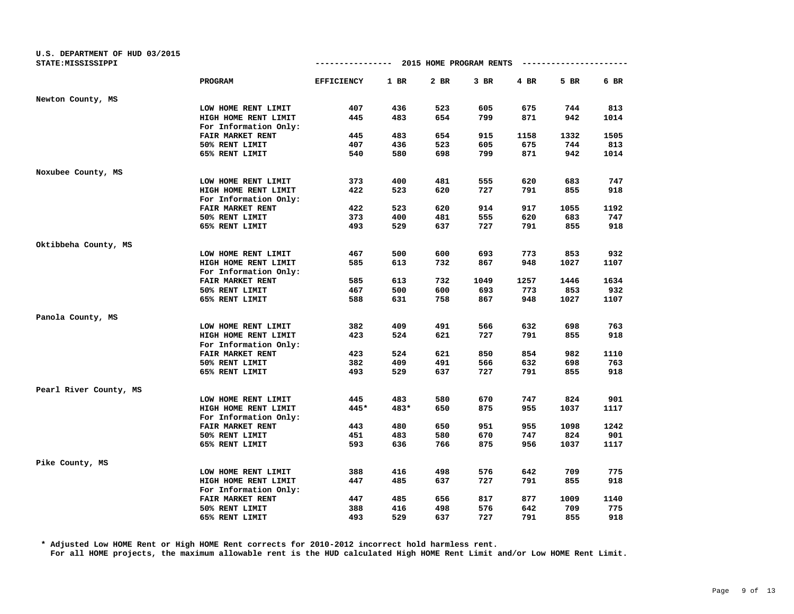| U.S. DEPARTMENT OF HUD 03/2015<br>STATE: MISSISSIPPI |                         | ----------------  |        |      | 2015 HOME PROGRAM RENTS |      | --------------- |      |
|------------------------------------------------------|-------------------------|-------------------|--------|------|-------------------------|------|-----------------|------|
|                                                      |                         |                   |        |      |                         |      |                 |      |
|                                                      | PROGRAM                 | <b>EFFICIENCY</b> | $1$ BR | 2 BR | $3$ BR                  | 4 BR | 5 BR            | 6 BR |
| Newton County, MS                                    |                         |                   |        |      |                         |      |                 |      |
|                                                      | LOW HOME RENT LIMIT     | 407               | 436    | 523  | 605                     | 675  | 744             | 813  |
|                                                      | HIGH HOME RENT LIMIT    | 445               | 483    | 654  | 799                     | 871  | 942             | 1014 |
|                                                      | For Information Only:   |                   |        |      |                         |      |                 |      |
|                                                      | <b>FAIR MARKET RENT</b> | 445               | 483    | 654  | 915                     | 1158 | 1332            | 1505 |
|                                                      | 50% RENT LIMIT          | 407               | 436    | 523  | 605                     | 675  | 744             | 813  |
|                                                      | 65% RENT LIMIT          | 540               | 580    | 698  | 799                     | 871  | 942             | 1014 |
| Noxubee County, MS                                   |                         |                   |        |      |                         |      |                 |      |
|                                                      | LOW HOME RENT LIMIT     | 373               | 400    | 481  | 555                     | 620  | 683             | 747  |
|                                                      | HIGH HOME RENT LIMIT    | 422               | 523    | 620  | 727                     | 791  | 855             | 918  |
|                                                      | For Information Only:   |                   |        |      |                         |      |                 |      |
|                                                      | FAIR MARKET RENT        | 422               | 523    | 620  | 914                     | 917  | 1055            | 1192 |
|                                                      | 50% RENT LIMIT          | 373               | 400    | 481  | 555                     | 620  | 683             | 747  |
|                                                      | 65% RENT LIMIT          | 493               | 529    | 637  | 727                     | 791  | 855             | 918  |
| Oktibbeha County, MS                                 |                         |                   |        |      |                         |      |                 |      |
|                                                      | LOW HOME RENT LIMIT     | 467               | 500    | 600  | 693                     | 773  | 853             | 932  |
|                                                      | HIGH HOME RENT LIMIT    | 585               | 613    | 732  | 867                     | 948  | 1027            | 1107 |
|                                                      | For Information Only:   |                   |        |      |                         |      |                 |      |
|                                                      | FAIR MARKET RENT        | 585               | 613    | 732  | 1049                    | 1257 | 1446            | 1634 |
|                                                      | 50% RENT LIMIT          | 467               | 500    | 600  | 693                     | 773  | 853             | 932  |
|                                                      | 65% RENT LIMIT          | 588               | 631    | 758  | 867                     | 948  | 1027            | 1107 |
| Panola County, MS                                    |                         |                   |        |      |                         |      |                 |      |
|                                                      | LOW HOME RENT LIMIT     | 382               | 409    | 491  | 566                     | 632  | 698             | 763  |
|                                                      | HIGH HOME RENT LIMIT    | 423               | 524    | 621  | 727                     | 791  | 855             | 918  |
|                                                      | For Information Only:   |                   |        |      |                         |      |                 |      |
|                                                      | FAIR MARKET RENT        | 423               | 524    | 621  | 850                     | 854  | 982             | 1110 |
|                                                      | 50% RENT LIMIT          | 382               | 409    | 491  | 566                     | 632  | 698             | 763  |
|                                                      | 65% RENT LIMIT          | 493               | 529    | 637  | 727                     | 791  | 855             | 918  |
| Pearl River County, MS                               |                         |                   |        |      |                         |      |                 |      |
|                                                      | LOW HOME RENT LIMIT     | 445               | 483    | 580  | 670                     | 747  | 824             | 901  |
|                                                      | HIGH HOME RENT LIMIT    | 445*              | 483*   | 650  | 875                     | 955  | 1037            | 1117 |
|                                                      | For Information Only:   |                   |        |      |                         |      |                 |      |
|                                                      | FAIR MARKET RENT        | 443               | 480    | 650  | 951                     | 955  | 1098            | 1242 |
|                                                      | 50% RENT LIMIT          | 451               | 483    | 580  | 670                     | 747  | 824             | 901  |
|                                                      | 65% RENT LIMIT          | 593               | 636    | 766  | 875                     | 956  | 1037            | 1117 |
| Pike County, MS                                      |                         |                   |        |      |                         |      |                 |      |
|                                                      | LOW HOME RENT LIMIT     | 388               | 416    | 498  | 576                     | 642  | 709             | 775  |
|                                                      | HIGH HOME RENT LIMIT    | 447               | 485    | 637  | 727                     | 791  | 855             | 918  |
|                                                      | For Information Only:   |                   |        |      |                         |      |                 |      |
|                                                      | FAIR MARKET RENT        | 447               | 485    | 656  | 817                     | 877  | 1009            | 1140 |
|                                                      | 50% RENT LIMIT          | 388               | 416    | 498  | 576                     | 642  | 709             | 775  |
|                                                      | 65% RENT LIMIT          | 493               | 529    | 637  | 727                     | 791  | 855             | 918  |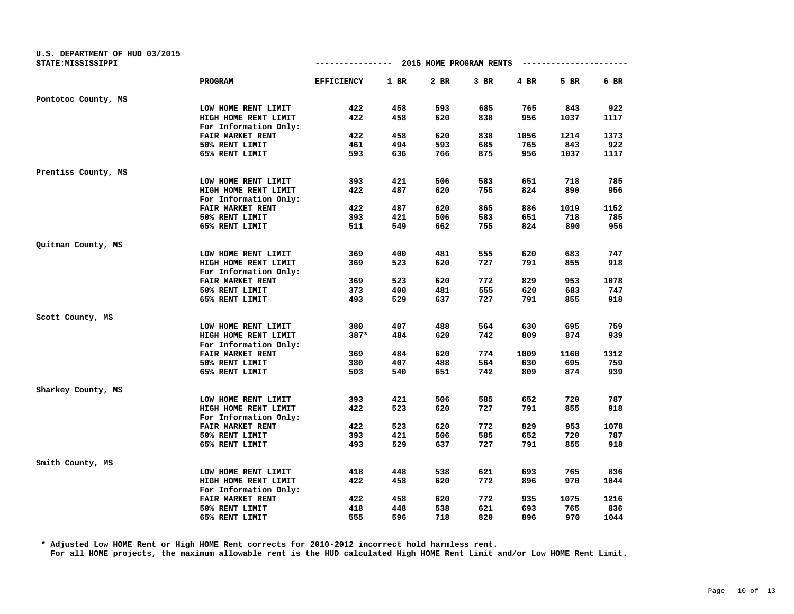| U.S. DEPARTMENT OF HUD 03/2015<br>STATE: MISSISSIPPI |                                               | -------------     |        | 2015 HOME PROGRAM RENTS |      |      |      |      |
|------------------------------------------------------|-----------------------------------------------|-------------------|--------|-------------------------|------|------|------|------|
|                                                      | <b>PROGRAM</b>                                | <b>EFFICIENCY</b> | $1$ BR | 2 BR                    | 3 BR | 4 BR | 5 BR | 6 BR |
| Pontotoc County, MS                                  |                                               |                   |        |                         |      |      |      |      |
|                                                      | LOW HOME RENT LIMIT                           | 422               | 458    | 593                     | 685  | 765  | 843  | 922  |
|                                                      | HIGH HOME RENT LIMIT                          | 422               | 458    | 620                     | 838  | 956  | 1037 | 1117 |
|                                                      | For Information Only:                         |                   |        |                         |      |      |      |      |
|                                                      | FAIR MARKET RENT                              | 422               | 458    | 620                     | 838  | 1056 | 1214 | 1373 |
|                                                      | 50% RENT LIMIT                                | 461               | 494    | 593                     | 685  | 765  | 843  | 922  |
|                                                      | 65% RENT LIMIT                                | 593               | 636    | 766                     | 875  | 956  | 1037 | 1117 |
| Prentiss County, MS                                  |                                               |                   |        |                         |      |      |      |      |
|                                                      | LOW HOME RENT LIMIT                           | 393               | 421    | 506                     | 583  | 651  | 718  | 785  |
|                                                      | HIGH HOME RENT LIMIT                          | 422               | 487    | 620                     | 755  | 824  | 890  | 956  |
|                                                      | For Information Only:                         |                   |        |                         |      |      |      |      |
|                                                      | FAIR MARKET RENT                              | 422               | 487    | 620                     | 865  | 886  | 1019 | 1152 |
|                                                      | 50% RENT LIMIT                                | 393               | 421    | 506                     | 583  | 651  | 718  | 785  |
|                                                      | 65% RENT LIMIT                                | 511               | 549    | 662                     | 755  | 824  | 890  | 956  |
| Quitman County, MS                                   |                                               |                   |        |                         |      |      |      |      |
|                                                      | LOW HOME RENT LIMIT                           | 369               | 400    | 481                     | 555  | 620  | 683  | 747  |
|                                                      | HIGH HOME RENT LIMIT                          | 369               | 523    | 620                     | 727  | 791  | 855  | 918  |
|                                                      | For Information Only:                         |                   |        |                         |      |      |      |      |
|                                                      | FAIR MARKET RENT                              | 369               | 523    | 620                     | 772  | 829  | 953  | 1078 |
|                                                      | 50% RENT LIMIT                                | 373               | 400    | 481                     | 555  | 620  | 683  | 747  |
|                                                      | 65% RENT LIMIT                                | 493               | 529    | 637                     | 727  | 791  | 855  | 918  |
| Scott County, MS                                     |                                               |                   |        |                         |      |      |      |      |
|                                                      | LOW HOME RENT LIMIT                           | 380               | 407    | 488                     | 564  | 630  | 695  | 759  |
|                                                      | HIGH HOME RENT LIMIT<br>For Information Only: | $387*$            | 484    | 620                     | 742  | 809  | 874  | 939  |
|                                                      | FAIR MARKET RENT                              | 369               | 484    | 620                     | 774  | 1009 | 1160 | 1312 |
|                                                      | 50% RENT LIMIT                                | 380               | 407    | 488                     | 564  | 630  | 695  | 759  |
|                                                      | 65% RENT LIMIT                                | 503               | 540    | 651                     | 742  | 809  | 874  | 939  |
| Sharkey County, MS                                   |                                               |                   |        |                         |      |      |      |      |
|                                                      | LOW HOME RENT LIMIT                           | 393               | 421    | 506                     | 585  | 652  | 720  | 787  |
|                                                      | HIGH HOME RENT LIMIT                          | 422               | 523    | 620                     | 727  | 791  | 855  | 918  |
|                                                      | For Information Only:                         |                   |        |                         |      |      |      |      |
|                                                      | FAIR MARKET RENT                              | 422               | 523    | 620                     | 772  | 829  | 953  | 1078 |
|                                                      | 50% RENT LIMIT                                | 393               | 421    | 506                     | 585  | 652  | 720  | 787  |
|                                                      | 65% RENT LIMIT                                | 493               | 529    | 637                     | 727  | 791  | 855  | 918  |
| Smith County, MS                                     |                                               |                   |        |                         |      |      |      |      |
|                                                      | LOW HOME RENT LIMIT                           | 418               | 448    | 538                     | 621  | 693  | 765  | 836  |
|                                                      | HIGH HOME RENT LIMIT                          | 422               | 458    | 620                     | 772  | 896  | 970  | 1044 |
|                                                      | For Information Only:                         |                   |        |                         |      |      |      |      |
|                                                      | FAIR MARKET RENT                              | 422               | 458    | 620                     | 772  | 935  | 1075 | 1216 |
|                                                      | 50% RENT LIMIT                                | 418               | 448    | 538                     | 621  | 693  | 765  | 836  |
|                                                      | 65% RENT LIMIT                                | 555               | 596    | 718                     | 820  | 896  | 970  | 1044 |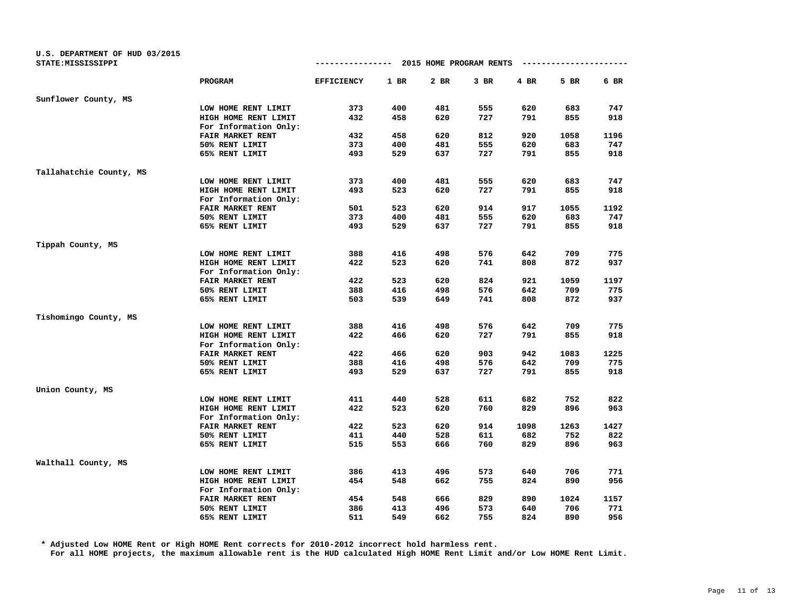| U.S. DEPARTMENT OF HUD 03/2015<br>STATE: MISSISSIPPI |                         | -------------     |        | 2015 HOME PROGRAM RENTS |        |      |      |      |
|------------------------------------------------------|-------------------------|-------------------|--------|-------------------------|--------|------|------|------|
|                                                      | PROGRAM                 | <b>EFFICIENCY</b> | $1$ BR | 2 BR                    | $3$ BR | 4 BR | 5 BR | 6 BR |
| Sunflower County, MS                                 |                         |                   |        |                         |        |      |      |      |
|                                                      | LOW HOME RENT LIMIT     | 373               | 400    | 481                     | 555    | 620  | 683  | 747  |
|                                                      | HIGH HOME RENT LIMIT    | 432               | 458    | 620                     | 727    | 791  | 855  | 918  |
|                                                      | For Information Only:   |                   |        |                         |        |      |      |      |
|                                                      | FAIR MARKET RENT        | 432               | 458    | 620                     | 812    | 920  | 1058 | 1196 |
|                                                      | 50% RENT LIMIT          | 373               | 400    | 481                     | 555    | 620  | 683  | 747  |
|                                                      | 65% RENT LIMIT          | 493               | 529    | 637                     | 727    | 791  | 855  | 918  |
| Tallahatchie County, MS                              |                         |                   |        |                         |        |      |      |      |
|                                                      | LOW HOME RENT LIMIT     | 373               | 400    | 481                     | 555    | 620  | 683  | 747  |
|                                                      | HIGH HOME RENT LIMIT    | 493               | 523    | 620                     | 727    | 791  | 855  | 918  |
|                                                      | For Information Only:   |                   |        |                         |        |      |      |      |
|                                                      | <b>FAIR MARKET RENT</b> | 501               | 523    | 620                     | 914    | 917  | 1055 | 1192 |
|                                                      | 50% RENT LIMIT          | 373               | 400    | 481                     | 555    | 620  | 683  | 747  |
|                                                      | 65% RENT LIMIT          | 493               | 529    | 637                     | 727    | 791  | 855  | 918  |
| Tippah County, MS                                    |                         |                   |        |                         |        |      |      |      |
|                                                      | LOW HOME RENT LIMIT     | 388               | 416    | 498                     | 576    | 642  | 709  | 775  |
|                                                      | HIGH HOME RENT LIMIT    | 422               | 523    | 620                     | 741    | 808  | 872  | 937  |
|                                                      | For Information Only:   |                   |        |                         |        |      |      |      |
|                                                      | FAIR MARKET RENT        | 422               | 523    | 620                     | 824    | 921  | 1059 | 1197 |
|                                                      | 50% RENT LIMIT          | 388               | 416    | 498                     | 576    | 642  | 709  | 775  |
|                                                      | 65% RENT LIMIT          | 503               | 539    | 649                     | 741    | 808  | 872  | 937  |
| Tishomingo County, MS                                |                         |                   |        |                         |        |      |      |      |
|                                                      | LOW HOME RENT LIMIT     | 388               | 416    | 498                     | 576    | 642  | 709  | 775  |
|                                                      | HIGH HOME RENT LIMIT    | 422               | 466    | 620                     | 727    | 791  | 855  | 918  |
|                                                      | For Information Only:   |                   |        |                         |        |      |      |      |
|                                                      | FAIR MARKET RENT        | 422               | 466    | 620                     | 903    | 942  | 1083 | 1225 |
|                                                      | 50% RENT LIMIT          | 388               | 416    | 498                     | 576    | 642  | 709  | 775  |
|                                                      | 65% RENT LIMIT          | 493               | 529    | 637                     | 727    | 791  | 855  | 918  |
| Union County, MS                                     |                         |                   |        |                         |        |      |      |      |
|                                                      | LOW HOME RENT LIMIT     | 411               | 440    | 528                     | 611    | 682  | 752  | 822  |
|                                                      | HIGH HOME RENT LIMIT    | 422               | 523    | 620                     | 760    | 829  | 896  | 963  |
|                                                      | For Information Only:   |                   |        |                         |        |      |      |      |
|                                                      | FAIR MARKET RENT        | 422               | 523    | 620                     | 914    | 1098 | 1263 | 1427 |
|                                                      | 50% RENT LIMIT          | 411               | 440    | 528                     | 611    | 682  | 752  | 822  |
|                                                      | 65% RENT LIMIT          | 515               | 553    | 666                     | 760    | 829  | 896  | 963  |
| Walthall County, MS                                  |                         |                   |        |                         |        |      |      |      |
|                                                      | LOW HOME RENT LIMIT     | 386               | 413    | 496                     | 573    | 640  | 706  | 771  |
|                                                      | HIGH HOME RENT LIMIT    | 454               | 548    | 662                     | 755    | 824  | 890  | 956  |
|                                                      | For Information Only:   |                   |        |                         |        |      |      |      |
|                                                      | FAIR MARKET RENT        | 454               | 548    | 666                     | 829    | 890  | 1024 | 1157 |
|                                                      | 50% RENT LIMIT          | 386               | 413    | 496                     | 573    | 640  | 706  | 771  |
|                                                      | 65% RENT LIMIT          | 511               | 549    | 662                     | 755    | 824  | 890  | 956  |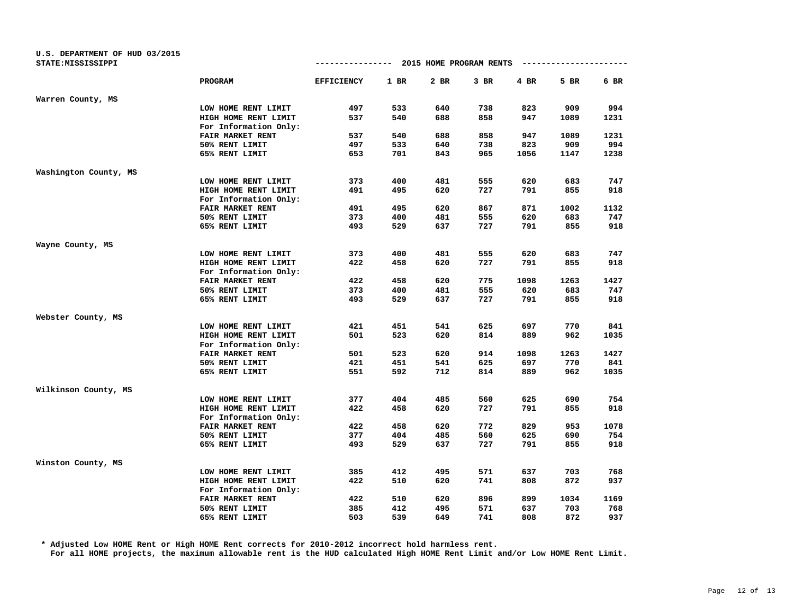| U.S. DEPARTMENT OF HUD 03/2015<br>STATE: MISSISSIPPI |                         | -------------     |      | 2015 HOME PROGRAM RENTS |      |      |      |      |
|------------------------------------------------------|-------------------------|-------------------|------|-------------------------|------|------|------|------|
|                                                      | PROGRAM                 | <b>EFFICIENCY</b> | 1 BR | 2 BR                    | 3 BR | 4 BR | 5 BR | 6 BR |
| Warren County, MS                                    |                         |                   |      |                         |      |      |      |      |
|                                                      | LOW HOME RENT LIMIT     | 497               | 533  | 640                     | 738  | 823  | 909  | 994  |
|                                                      | HIGH HOME RENT LIMIT    | 537               | 540  | 688                     | 858  | 947  | 1089 | 1231 |
|                                                      | For Information Only:   |                   |      |                         |      |      |      |      |
|                                                      | FAIR MARKET RENT        | 537               | 540  | 688                     | 858  | 947  | 1089 | 1231 |
|                                                      | 50% RENT LIMIT          | 497               | 533  | 640                     | 738  | 823  | 909  | 994  |
|                                                      | 65% RENT LIMIT          | 653               | 701  | 843                     | 965  | 1056 | 1147 | 1238 |
| Washington County, MS                                |                         |                   |      |                         |      |      |      |      |
|                                                      | LOW HOME RENT LIMIT     | 373               | 400  | 481                     | 555  | 620  | 683  | 747  |
|                                                      | HIGH HOME RENT LIMIT    | 491               | 495  | 620                     | 727  | 791  | 855  | 918  |
|                                                      | For Information Only:   |                   |      |                         |      |      |      |      |
|                                                      | <b>FAIR MARKET RENT</b> | 491               | 495  | 620                     | 867  | 871  | 1002 | 1132 |
|                                                      | 50% RENT LIMIT          | 373               | 400  | 481                     | 555  | 620  | 683  | 747  |
|                                                      | 65% RENT LIMIT          | 493               | 529  | 637                     | 727  | 791  | 855  | 918  |
| Wayne County, MS                                     |                         |                   |      |                         |      |      |      |      |
|                                                      | LOW HOME RENT LIMIT     | 373               | 400  | 481                     | 555  | 620  | 683  | 747  |
|                                                      | HIGH HOME RENT LIMIT    | 422               | 458  | 620                     | 727  | 791  | 855  | 918  |
|                                                      | For Information Only:   |                   |      |                         |      |      |      |      |
|                                                      | FAIR MARKET RENT        | 422               | 458  | 620                     | 775  | 1098 | 1263 | 1427 |
|                                                      | 50% RENT LIMIT          | 373               | 400  | 481                     | 555  | 620  | 683  | 747  |
|                                                      | 65% RENT LIMIT          | 493               | 529  | 637                     | 727  | 791  | 855  | 918  |
| Webster County, MS                                   |                         |                   |      |                         |      |      |      |      |
|                                                      | LOW HOME RENT LIMIT     | 421               | 451  | 541                     | 625  | 697  | 770  | 841  |
|                                                      | HIGH HOME RENT LIMIT    | 501               | 523  | 620                     | 814  | 889  | 962  | 1035 |
|                                                      | For Information Only:   |                   |      |                         |      |      |      |      |
|                                                      | FAIR MARKET RENT        | 501               | 523  | 620                     | 914  | 1098 | 1263 | 1427 |
|                                                      | 50% RENT LIMIT          | 421               | 451  | 541                     | 625  | 697  | 770  | 841  |
|                                                      | 65% RENT LIMIT          | 551               | 592  | 712                     | 814  | 889  | 962  | 1035 |
| Wilkinson County, MS                                 |                         |                   |      |                         |      |      |      |      |
|                                                      | LOW HOME RENT LIMIT     | 377               | 404  | 485                     | 560  | 625  | 690  | 754  |
|                                                      | HIGH HOME RENT LIMIT    | 422               | 458  | 620                     | 727  | 791  | 855  | 918  |
|                                                      | For Information Only:   |                   |      |                         |      |      |      |      |
|                                                      | FAIR MARKET RENT        | 422               | 458  | 620                     | 772  | 829  | 953  | 1078 |
|                                                      | 50% RENT LIMIT          | 377               | 404  | 485                     | 560  | 625  | 690  | 754  |
|                                                      | 65% RENT LIMIT          | 493               | 529  | 637                     | 727  | 791  | 855  | 918  |
| Winston County, MS                                   |                         |                   |      |                         |      |      |      |      |
|                                                      | LOW HOME RENT LIMIT     | 385               | 412  | 495                     | 571  | 637  | 703  | 768  |
|                                                      | HIGH HOME RENT LIMIT    | 422               | 510  | 620                     | 741  | 808  | 872  | 937  |
|                                                      | For Information Only:   |                   |      |                         |      |      |      |      |
|                                                      | FAIR MARKET RENT        | 422               | 510  | 620                     | 896  | 899  | 1034 | 1169 |
|                                                      | 50% RENT LIMIT          | 385               | 412  | 495                     | 571  | 637  | 703  | 768  |
|                                                      | 65% RENT LIMIT          | 503               | 539  | 649                     | 741  | 808  | 872  | 937  |